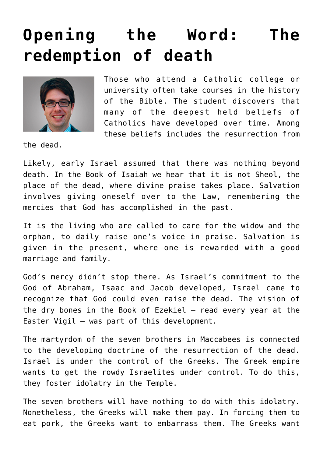## **[Opening the Word: The](https://www.osvnews.com/2019/11/04/opening-the-word-the-redemption-of-death/) [redemption of death](https://www.osvnews.com/2019/11/04/opening-the-word-the-redemption-of-death/)**



Those who attend a Catholic college or university often take courses in the history of the Bible. The student discovers that many of the deepest held beliefs of Catholics have developed over time. Among these beliefs includes the resurrection from

the dead.

Likely, early Israel assumed that there was nothing beyond death. In the Book of Isaiah we hear that it is not Sheol, the place of the dead, where divine praise takes place. Salvation involves giving oneself over to the Law, remembering the mercies that God has accomplished in the past.

It is the living who are called to care for the widow and the orphan, to daily raise one's voice in praise. Salvation is given in the present, where one is rewarded with a good marriage and family.

God's mercy didn't stop there. As Israel's commitment to the God of Abraham, Isaac and Jacob developed, Israel came to recognize that God could even raise the dead. The vision of the dry bones in the Book of Ezekiel — read every year at the Easter Vigil — was part of this development.

The martyrdom of the seven brothers in Maccabees is connected to the developing doctrine of the resurrection of the dead. Israel is under the control of the Greeks. The Greek empire wants to get the rowdy Israelites under control. To do this, they foster idolatry in the Temple.

The seven brothers will have nothing to do with this idolatry. Nonetheless, the Greeks will make them pay. In forcing them to eat pork, the Greeks want to embarrass them. The Greeks want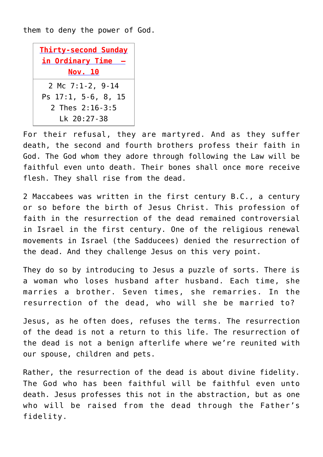them to deny the power of God.



For their refusal, they are martyred. And as they suffer death, the second and fourth brothers profess their faith in God. The God whom they adore through following the Law will be faithful even unto death. Their bones shall once more receive flesh. They shall rise from the dead.

2 Maccabees was written in the first century B.C., a century or so before the birth of Jesus Christ. This profession of faith in the resurrection of the dead remained controversial in Israel in the first century. One of the religious renewal movements in Israel (the Sadducees) denied the resurrection of the dead. And they challenge Jesus on this very point.

They do so by introducing to Jesus a puzzle of sorts. There is a woman who loses husband after husband. Each time, she marries a brother. Seven times, she remarries. In the resurrection of the dead, who will she be married to?

Jesus, as he often does, refuses the terms. The resurrection of the dead is not a return to this life. The resurrection of the dead is not a benign afterlife where we're reunited with our spouse, children and pets.

Rather, the resurrection of the dead is about divine fidelity. The God who has been faithful will be faithful even unto death. Jesus professes this not in the abstraction, but as one who will be raised from the dead through the Father's fidelity.